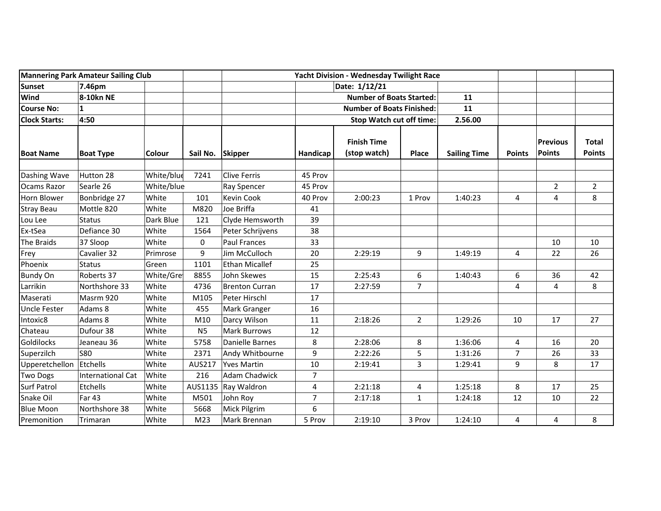| Mannering Park Amateur Sailing Club |                          |            | Yacht Division - Wednesday Twilight Race |                       |                |                                    |                |                     |                         |                           |                               |
|-------------------------------------|--------------------------|------------|------------------------------------------|-----------------------|----------------|------------------------------------|----------------|---------------------|-------------------------|---------------------------|-------------------------------|
| Sunset                              | 7.46pm                   |            |                                          | Date: 1/12/21         |                |                                    |                |                     |                         |                           |                               |
| Wind                                | 8-10kn NE                |            |                                          |                       |                | <b>Number of Boats Started:</b>    |                | 11                  |                         |                           |                               |
| <b>Course No:</b>                   | $\mathbf{1}$             |            |                                          |                       |                | <b>Number of Boats Finished:</b>   |                | 11                  |                         |                           |                               |
| <b>Clock Starts:</b>                | 4:50                     |            |                                          |                       |                | <b>Stop Watch cut off time:</b>    |                | 2.56.00             |                         |                           |                               |
| <b>Boat Name</b>                    | <b>Boat Type</b>         | Colour     | Sail No. Skipper                         |                       | Handicap       | <b>Finish Time</b><br>(stop watch) | Place          | <b>Sailing Time</b> | <b>Points</b>           | <b>Previous</b><br>Points | <b>Total</b><br><b>Points</b> |
| Dashing Wave                        | Hutton 28                | White/blue | 7241                                     | <b>Clive Ferris</b>   | 45 Prov        |                                    |                |                     |                         |                           |                               |
| <b>Ocams Razor</b>                  | Searle 26                | White/blue |                                          | Ray Spencer           | 45 Prov        |                                    |                |                     |                         | $\overline{2}$            | $\overline{2}$                |
| Horn Blower                         | Bonbridge 27             | White      | 101                                      | Kevin Cook            | 40 Prov        | 2:00:23                            | 1 Prov         | 1:40:23             | $\overline{\mathbf{4}}$ | 4                         | 8                             |
| <b>Stray Beau</b>                   | Mottle 820               | White      | M820                                     | Joe Briffa            | 41             |                                    |                |                     |                         |                           |                               |
| Lou Lee                             | <b>Status</b>            | Dark Blue  | 121                                      | Clyde Hemsworth       | 39             |                                    |                |                     |                         |                           |                               |
| Ex-tSea                             | Defiance 30              | White      | 1564                                     | Peter Schrijvens      | 38             |                                    |                |                     |                         |                           |                               |
| The Braids                          | 37 Sloop                 | White      | 0                                        | <b>Paul Frances</b>   | 33             |                                    |                |                     |                         | 10                        | 10                            |
| Frey                                | Cavalier 32              | Primrose   | 9                                        | Jim McCulloch         | 20             | 2:29:19                            | 9              | 1:49:19             | 4                       | 22                        | 26                            |
| Phoenix                             | Status                   | Green      | 1101                                     | <b>Ethan Micallef</b> | 25             |                                    |                |                     |                         |                           |                               |
| <b>Bundy On</b>                     | Roberts 37               | White/Gre  | 8855                                     | John Skewes           | 15             | 2:25:43                            | 6              | 1:40:43             | 6                       | 36                        | 42                            |
| Larrikin                            | Northshore 33            | White      | 4736                                     | <b>Brenton Curran</b> | 17             | 2:27:59                            | $\overline{7}$ |                     | 4                       | 4                         | 8                             |
| Maserati                            | Masrm 920                | White      | M105                                     | Peter Hirschl         | 17             |                                    |                |                     |                         |                           |                               |
| Uncle Fester                        | Adams 8                  | White      | 455                                      | Mark Granger          | 16             |                                    |                |                     |                         |                           |                               |
| Intoxic8                            | Adams 8                  | White      | M10                                      | Darcy Wilson          | 11             | 2:18:26                            | $\overline{2}$ | 1:29:26             | 10                      | 17                        | 27                            |
| Chateau                             | Dufour 38                | White      | <b>N5</b>                                | <b>Mark Burrows</b>   | 12             |                                    |                |                     |                         |                           |                               |
| Goldilocks                          | Jeaneau 36               | White      | 5758                                     | Danielle Barnes       | 8              | 2:28:06                            | 8              | 1:36:06             | 4                       | 16                        | 20                            |
| Superzilch                          | <b>S80</b>               | White      | 2371                                     | Andy Whitbourne       | 9              | 2:22:26                            | 5              | 1:31:26             | $\overline{7}$          | 26                        | 33                            |
| Upperetchellon                      | Etchells                 | White      | AUS217                                   | <b>Yves Martin</b>    | 10             | 2:19:41                            | 3              | 1:29:41             | 9                       | 8                         | 17                            |
| <b>Two Dogs</b>                     | <b>International Cat</b> | White      | 216                                      | <b>Adam Chadwick</b>  | $\overline{7}$ |                                    |                |                     |                         |                           |                               |
| Surf Patrol                         | Etchells                 | White      | AUS1135                                  | Ray Waldron           | 4              | 2:21:18                            | 4              | 1:25:18             | 8                       | 17                        | 25                            |
| Snake Oil                           | <b>Far 43</b>            | White      | M501                                     | John Roy              | $\overline{7}$ | 2:17:18                            | $\mathbf{1}$   | 1:24:18             | 12                      | 10                        | 22                            |
| <b>Blue Moon</b>                    | Northshore 38            | White      | 5668                                     | Mick Pilgrim          | 6              |                                    |                |                     |                         |                           |                               |
| Premonition                         | Trimaran                 | White      | M23                                      | Mark Brennan          | 5 Prov         | 2:19:10                            | 3 Prov         | 1:24:10             | 4                       | 4                         | 8                             |